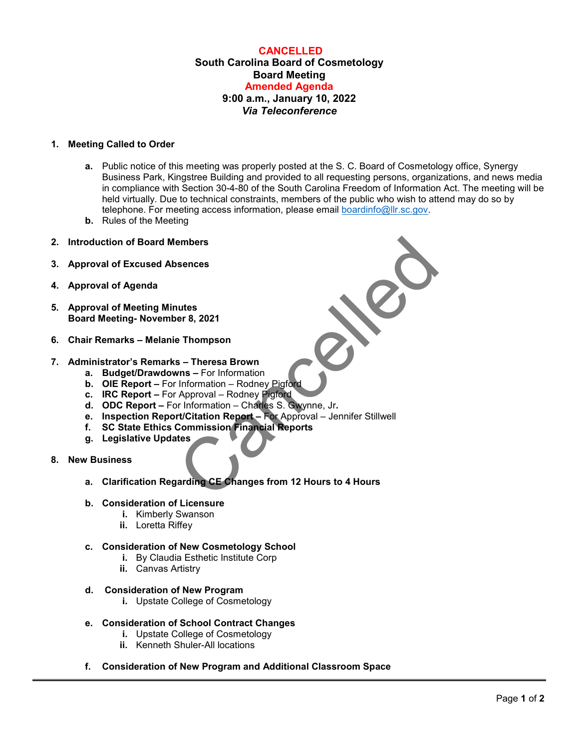# **CANCELLED South Carolina Board of Cosmetology Board Meeting Amended Agenda 9:00 a.m., January 10, 2022** *Via Teleconference*

### **1. Meeting Called to Order**

- **a.** Public notice of this meeting was properly posted at the S. C. Board of Cosmetology office, Synergy Business Park, Kingstree Building and provided to all requesting persons, organizations, and news media in compliance with Section 30-4-80 of the South Carolina Freedom of Information Act. The meeting will be held virtually. Due to technical constraints, members of the public who wish to attend may do so by telephone. For meeting access information, please email [boardinfo@llr.sc.gov.](mailto:boardinfo@llr.sc.gov)
- **b.** Rules of the Meeting
- **2. Introduction of Board Members**
- **3. Approval of Excused Absences**
- **4. Approval of Agenda**
- **5. Approval of Meeting Minutes Board Meeting- November 8, 2021**
- **6. Chair Remarks Melanie Thompson**
- **7. Administrator's Remarks Theresa Brown**
	- **a. Budget/Drawdowns** For Information
	- **b.** OIE Report For Information Rodney Pigford
	- **c. IRC Report** For Approval Rodney Pigford
	- **d. ODC Report** For Information Charles S. Gwynne, Jr**.**
- embers<br>
sences<br>
e Thompson<br>
s Theresa Brown<br>
wns For Information<br>
Information Rodney Pigford<br>
Approval Rodney Pigford<br>
Approval Rodney Pigford<br>
Commission Financial Reports<br>
tes<br>
tes<br>
arating CE Changes from 12 H **e. Inspection Report/Citation Report –** For Approval – Jennifer Stillwell
	- **f. SC State Ethics Commission Financial Reports**
	- **g. Legislative Updates**
- **8. New Business**
	- **a. Clarification Regarding CE Changes from 12 Hours to 4 Hours**

#### **b. Consideration of Licensure**

- **i.** Kimberly Swanson
- **ii.** Loretta Riffey

#### **c. Consideration of New Cosmetology School**

- **i.** By Claudia Esthetic Institute Corp
- **ii.** Canvas Artistry
- **d. Consideration of New Program**
	- **i.** Upstate College of Cosmetology

# **e. Consideration of School Contract Changes**

- **i.** Upstate College of Cosmetology
	- **ii.** Kenneth Shuler-All locations
- **f. Consideration of New Program and Additional Classroom Space**